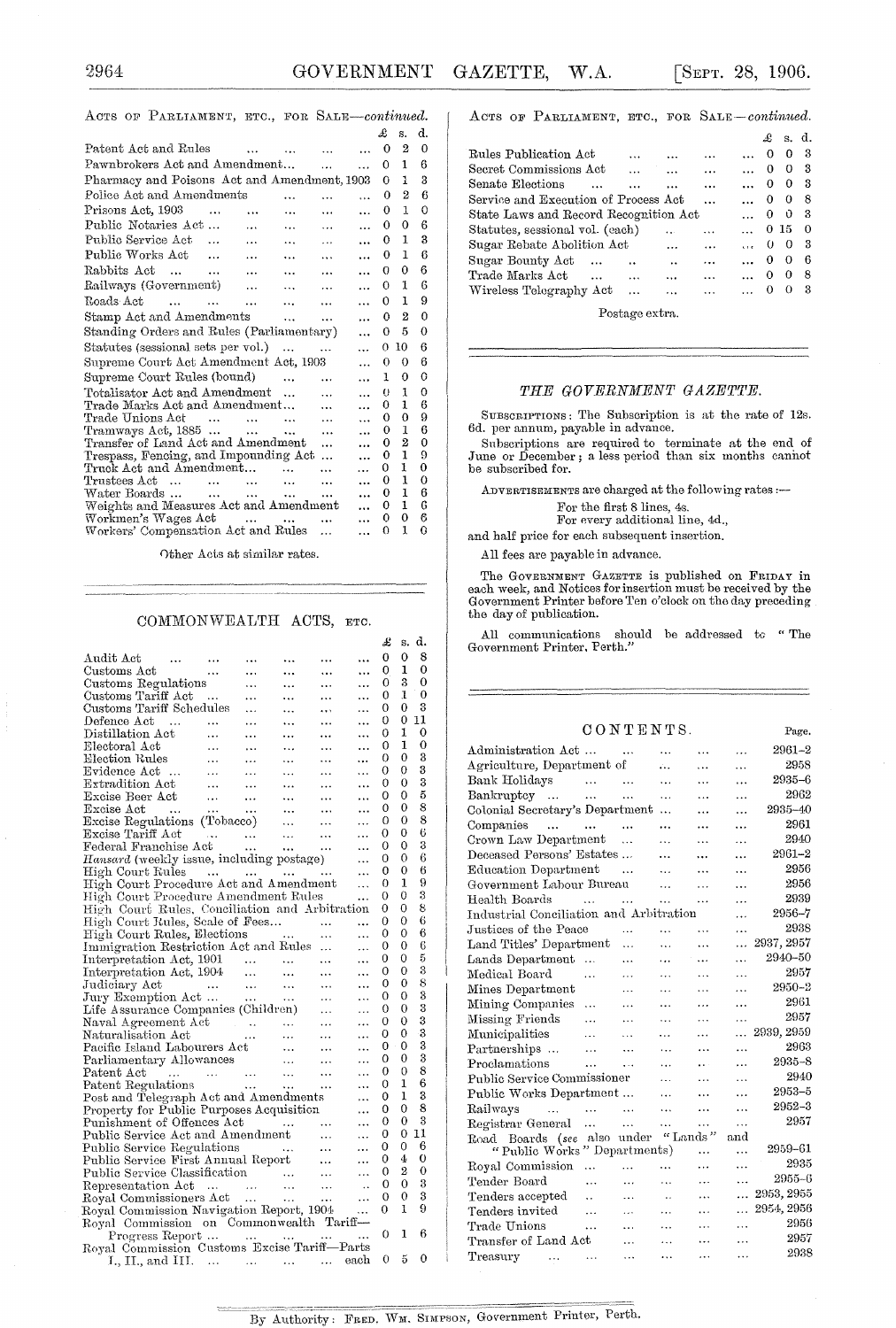#### ACTS OF PARLIAMENT, ETC., FOR SALE-continued.

|                                                                                                                                                                                   |                | £        | s.             | d.       |
|-----------------------------------------------------------------------------------------------------------------------------------------------------------------------------------|----------------|----------|----------------|----------|
| Patent Act and Rules<br>$\cdots$                                                                                                                                                  |                | 0        | 2              | 0        |
| Pawnbrokers Act and Amendment<br>$\ddotsc$                                                                                                                                        |                | $\Omega$ | 1              | 6        |
| Pharmacy and Poisons Act and Amendment, 1903                                                                                                                                      |                | 0        | 1              | 3        |
| Police Act and Amendments<br>$\cdots$                                                                                                                                             |                | 0        | $\overline{2}$ | 6        |
| Prisons Act. 1903<br>$\cdots$<br>$\ddotsc$<br>$\ddot{\phantom{a}}$<br>$\ddotsc$                                                                                                   | $\ddotsc$      | 0        | 1              | 0        |
| Public Notaries Act<br>$\cdots$<br>$\ddot{\phantom{a}}$<br>$\ddotsc$                                                                                                              | $\cdots$       | $\Omega$ | 0              | 6        |
| Public Service Act<br>$\cdots$<br>$\ddotsc$<br>$\cdots$                                                                                                                           | $\overline{a}$ | 0        | 1              | 3        |
| Public Works Act<br>$\cdots$<br>$\ddotsc$<br>$\cdots$                                                                                                                             | $\ddotsc$      | 0        | 1              | 6        |
| Rabbits Act<br><b>Contract Contract</b><br>$\ddotsc$<br>$\ddotsc$<br>$\cdots$                                                                                                     | .              | Ω        | 0              | 6        |
| Railways (Government)<br>$\sim$ $\sim$<br>$\cdots$<br>.                                                                                                                           | $\cdots$       | 0        | 1              | 6        |
| Roads Act<br>$\cdots$<br>$\ddotsc$                                                                                                                                                | $\ddotsc$      | 0        | 1              | 9        |
| Stamp Act and Amendments<br>$\mathbf{r}$<br>$\cdots$                                                                                                                              | $\cdots$       | $\Omega$ | 2              | 0        |
| Standing Orders and Rules (Parliamentary)                                                                                                                                         |                | 0        | 5              | 0        |
| Statutes (sessional sets per vol.)<br>$\sim$                                                                                                                                      | $\ddotsc$      | 0        | 10             | 6        |
| Supreme Court Act Amendment Act, 1903                                                                                                                                             | $\ddotsc$      | 0        | 0              | 6        |
| Supreme Court Rules (bound)<br>$\ddotsc$<br>.                                                                                                                                     | $\cdots$       | 1        | 0              | 0        |
| Totalisator Act and Amendment<br>$\ddotsc$                                                                                                                                        | $\cdots$       | $^{(1)}$ | 1              | 0        |
| Trade Marks Act and Amendment                                                                                                                                                     | .              | 0        | 1              | 6        |
| Trade Unions Act<br>$\sim$ $\sim$<br>$\sim$ $\sim$<br><b>Contract Contract</b><br>$\cdots$                                                                                        |                | 0        | 0              | 9        |
| Tramways Act, 1885<br>$\cdots$<br>$\ddotsc$                                                                                                                                       |                | 0        | 1              | 6        |
| Transfer of Land Act and Amendment<br>$\ddotsc$                                                                                                                                   |                | 0<br>0   | 2<br>1         | 0<br>9   |
| Trespass, Fencing, and Impounding Act<br>.<br>Truck Act and Amendment                                                                                                             |                | 0        | 1              | 0        |
| $\ddot{\phantom{a}}$<br>Trustees Act<br>and the state of the state of the state of the state of the state of the state of the state of the state of the<br>$\ddotsc$<br>$\ddotsc$ |                | 0        | 1              | 0        |
| Water Boards<br>and a series of the series of the series<br>$\cdots$                                                                                                              |                | 0        | 1              | 6        |
| Weights and Measures Act and Amendment                                                                                                                                            |                | 0        | 1              | 6        |
| Workmen's Wages Act<br>$\cdots$ $\cdots$<br>$\ddotsc$                                                                                                                             |                | 0        | 0              | 6        |
| Workers' Compensation Act and Rules<br>$\ddotsc$                                                                                                                                  |                | 0        | 1              | $\Omega$ |
|                                                                                                                                                                                   |                |          |                |          |

Other Acts at similar rates.

#### COMMONWEALTH ACTS, ETC.

|                                                                                                                                                        |                   |           |                |            |           | £ | s.             | d.                      |
|--------------------------------------------------------------------------------------------------------------------------------------------------------|-------------------|-----------|----------------|------------|-----------|---|----------------|-------------------------|
| Audit Act<br>$\cdots$                                                                                                                                  |                   |           |                |            |           | 0 | 0              | 8                       |
| Customs Act<br>$\sim 10^{11}$ and $\sim 10^{11}$                                                                                                       |                   |           |                |            | $\cdots$  | 0 | 1              | 0                       |
| Customs Regulations                                                                                                                                    |                   | $\ddotsc$ | $\ddotsc$      | $\ddotsc$  | $\ddotsc$ | 0 | 3              | 0                       |
| Customs Tariff Act                                                                                                                                     | <b>Contractor</b> | $\ldots$  | $\ddotsc$      | $\cdots$   | .         | 0 | 1              | 0                       |
| Customs Tariff Schedules                                                                                                                               |                   | $\ddotsc$ | $\ddotsc$      | $\cdots$   | .         | 0 | 0              | 3                       |
|                                                                                                                                                        |                   |           | $\ddotsc$      | $\cdots$   | $\ddotsc$ | 0 | 0              | 11                      |
| $\begin{tabular}{llll} \textbf{Defence} & \textbf{Act} & \dots & \dots & \dots \\ \textbf{Distillation} & \textbf{c} & \dots & \dots \\ \end{tabular}$ |                   |           | $\sim 10^{-1}$ | $\ldots$   |           | 0 | 1              | 0                       |
|                                                                                                                                                        |                   | $\ddotsc$ | $\mathbf{1}$   | $\cdots$   | $\ddotsc$ | 0 | 1              | 0                       |
|                                                                                                                                                        |                   | $\cdots$  | $\sim$ .       | $\ddotsc$  |           | 0 | 0              | 3                       |
|                                                                                                                                                        |                   |           |                |            | .         | 0 | 0              | 3                       |
|                                                                                                                                                        |                   |           |                |            | $\ddotsc$ | 0 | 0              | 3                       |
|                                                                                                                                                        |                   |           |                |            | $\ddotsc$ | 0 | 0              | 5                       |
|                                                                                                                                                        |                   |           |                |            | $\ddotsc$ | 0 | 0              | 8                       |
|                                                                                                                                                        |                   |           |                |            |           | 0 | 0              | 8                       |
|                                                                                                                                                        |                   |           |                |            | $\ddotsc$ | 0 | 0              | 6                       |
|                                                                                                                                                        |                   |           |                |            |           | 0 | 0              | 3                       |
| $Hansard$ (weekly issue, including postage)                                                                                                            |                   |           |                |            | $\ddotsc$ | 0 | 0              | 6                       |
| High Court Rules                                                                                                                                       |                   |           |                |            |           | 0 | 0              | 6                       |
| High Court Procedure Act and Amendment                                                                                                                 |                   |           |                |            | $\ddotsc$ | 0 | 1              | 9                       |
| High Court Procedure Amendment Rules                                                                                                                   |                   |           |                |            |           | 0 | 0              | 3                       |
| High Court Rules, Conciliation and Arbitration                                                                                                         |                   |           |                |            |           | 0 | 0              | 8                       |
|                                                                                                                                                        |                   |           |                |            |           | 0 | 0              | 6                       |
| High Court Rules, Elections                                                                                                                            |                   |           |                |            | $\ddotsc$ | 0 | 0              | 6                       |
| Immigration Restriction Act and Rules                                                                                                                  |                   |           |                |            | $\ddotsc$ | 0 | 0              | 6                       |
|                                                                                                                                                        |                   |           |                |            | .         | 0 | 0              | 5                       |
|                                                                                                                                                        |                   |           |                |            | .         | 0 | 0              | $\overline{\mathbf{3}}$ |
|                                                                                                                                                        |                   |           |                |            | $\cdots$  | 0 | 0              | 8                       |
|                                                                                                                                                        |                   |           |                |            | $\ddotsc$ | 0 | $\overline{0}$ | 3                       |
|                                                                                                                                                        |                   |           |                |            | $\ddotsc$ | 0 | 0              | 3                       |
|                                                                                                                                                        |                   |           |                |            | $\ddotsc$ | 0 | 0              | 3                       |
|                                                                                                                                                        |                   |           |                | $\sim 100$ | .         | 0 | 0              | 3                       |
|                                                                                                                                                        |                   |           |                |            | $\ddotsc$ | 0 | 0              | 3                       |
|                                                                                                                                                        |                   |           |                |            | $\ddotsc$ | 0 | 0              | 3                       |
|                                                                                                                                                        |                   |           |                |            | $\ddotsc$ | 0 | 0              | 8                       |
|                                                                                                                                                        |                   |           |                |            | .         | 0 | 1              | 6                       |
| Post and Telegraph Act and Amendments                                                                                                                  |                   |           |                |            | $\ddotsc$ | 0 | 1              | 3                       |
| Property for Public Purposes Acquisition                                                                                                               |                   |           |                |            | $\ddotsc$ | 0 | 0              | 8                       |
| Punishment of Offences Act                                                                                                                             |                   |           |                |            | $\ddotsc$ | 0 | 0              | 3                       |
| Punishment of Offences Act<br>Public Service Act and Amendment                                                                                         |                   |           |                |            | $\cdots$  | 0 | 0              | 11                      |
|                                                                                                                                                        |                   |           |                |            |           | 0 | 0              | 6                       |
| Public Service Regulations<br>Public Service First Annual Report                                                                                       |                   |           |                |            | $\cdots$  | 0 | 4              | 0                       |
|                                                                                                                                                        |                   |           |                |            | $\ddotsc$ | 0 | $\overline{2}$ | 0                       |
|                                                                                                                                                        |                   |           |                |            |           | 0 | 0              | 3                       |
| Public Service Classification<br>Representation Act<br>Royal Commissioners Act                                                                         |                   |           |                |            | $\ddots$  | 0 | 0              | 3                       |
|                                                                                                                                                        |                   |           |                |            | $\ddotsc$ | 0 | ı              | 9                       |
| Royal Commission Navigation Report, 1904                                                                                                               |                   |           |                |            |           |   |                |                         |
| Royal Commission on Commonwealth Tariff-                                                                                                               |                   |           |                |            |           | 0 | 1              | 6                       |
| Progress Report                                                                                                                                        |                   |           |                |            |           |   |                |                         |
| Royal Commission Customs Excise Tariff-Parts                                                                                                           |                   |           |                |            |           | 0 | 5              | 0                       |
| $I_{\cdot}, II_{\cdot}, \text{and III.} \dots \dots \dots \dots \dots$                                                                                 |                   |           |                |            | each      |   |                |                         |

ACTS OF PARLIAMENT, ETC., FOR SALE-continued.

|                                       |           |          |                      |          | £ |          | s. d.    |
|---------------------------------------|-----------|----------|----------------------|----------|---|----------|----------|
| Rules Publication Act                 |           |          |                      |          | O | 0        | 3        |
| Secret Commissions Act                |           |          |                      | $\cdots$ | 0 | 0        | -3       |
| Senate Elections                      | $\ddotsc$ |          |                      |          | 0 | 0        | -3       |
| Service and Execution of Process Act  |           |          |                      |          | 0 | $\theta$ | 8        |
| State Laws and Record Recognition Act |           |          |                      |          | 0 | - 0      | з        |
| Statutes, sessional vol. (each)       |           |          |                      | .        |   | 0 15     | $\Omega$ |
| Sugar Rebate Abolition Act            |           |          |                      | .        | 0 | $\theta$ | з        |
| Sugar Bounty Act                      |           |          | $\ddot{\phantom{a}}$ | $\cdots$ | 0 | 0        | 6        |
| Trade Marks Act<br>$\sim$             |           | $\cdots$ | $\ddotsc$            | $\cdots$ | 0 | 0        | 8        |
| Wireless Telegraphy Act               |           |          |                      |          | o | 0        | 3        |
|                                       |           |          |                      |          |   |          |          |

Postage extra.

#### THE GOVERNMENT GAZETTE.

SUBSCRIPTIONS: The Subscription is at the rate of 12s. 6d. per annum, payable in advance.

Subscriptions are required to terminate at the end of June or December; a less period than six months cannot be subscribed for.

ADVERTISEMENTS are charged at the following rates :-

For the first 8 lines, 4s.<br>For every additional line, 4d.,

and half price for each subsequent insertion.

All fees are payable in advance.

The GOVERNMENT GAZETTE is published on FRIDAY in and Week, and Notices for insertion must be received by the Government Printer before Ten o'clock on the day preceding the  $\,\mathrm{day}$  of publication.

All communications should be addressed to "The Government Printer, Perth."  $\,$ 

#### CONTENTS.

| CONTERNTS.                                 |               |           |                      |           |                 |  |
|--------------------------------------------|---------------|-----------|----------------------|-----------|-----------------|--|
| Administration Act                         | $\sim$ $\sim$ | $\ddotsc$ | .                    | .         | $2961 - 2$      |  |
| Agriculture, Department of                 |               | ú.        | $\cdots$             | .         | 2958            |  |
| Bank Holidays<br>$\sim 100$                | $\ddotsc$     | .         | $\ddotsc$            | .         | 2935-6          |  |
| Bankruptcy<br>$\sim$ 144                   | $\ddotsc$     | .         | $\ddotsc$            | .         | 2962            |  |
| Colonial Secretary's Department            |               | .         |                      | .         | 2935-40         |  |
| Companies<br>$\sim$ 10 $\pm$<br>$\cdots$   |               |           |                      |           | 2961            |  |
| Crown Law Department                       | .             | .         |                      | .         | 2940            |  |
| Deceased Persons' Estates                  |               | .         |                      |           | $2961 - 2$      |  |
| Education Department                       | $\cdots$      | .         | .                    | $\ddotsc$ | 2956            |  |
| Government Labour Bureau                   |               | .         | .                    | .         | 2956            |  |
| Health Boards<br>$\ddotsc$                 | .             | .         | $\ldots$             | .         | 2939            |  |
| Industrial Conciliation and Arbitration    |               |           |                      | .         | 2956-7          |  |
| Justices of the Peace                      | $\ddotsc$     | .         | $\ddotsc$            | .         | 2938            |  |
| Land Titles' Department                    | $\ddotsc$     | $\ddotsc$ | $\cdots$             | $\ddotsc$ | 2937, 2957      |  |
| Lands Department<br>$\ddotsc$              | $\cdots$      | .         | $\ddotsc$            | .         | 2940–50         |  |
| Medical Board<br>.                         | $\cdots$      | $\ddotsc$ | $\cdots$             | $\cdots$  | 2957            |  |
| Mines Department                           | $\cdots$      | $\ddotsc$ | .                    | $\ddotsc$ | $2950 - 2$      |  |
| Mining Companies<br>.                      | $\cdots$      | $\ddotsc$ | .                    | $\ddotsc$ | 2961            |  |
| Missing Friends<br>$\ddotsc$               | .             | $\ddotsc$ | $\cdots$             | $\ddotsc$ | 2957            |  |
| Municipalities<br>.                        | $\ddotsc$     | $\ddotsc$ | $\ddotsc$            | $\ddotsc$ | 2939, 2959      |  |
| Partnerships<br>$\cdots$                   | .             | $\ddotsc$ | .                    | .         | 2963            |  |
| Proclamations<br>$\ddotsc$                 | $\cdots$      | .         | $\ddot{\phantom{a}}$ | .         | 2935-8          |  |
| Public Service Commissioner                |               | .         | $\ddotsc$            | .         | 2940            |  |
| Public Works Department                    |               | .         | .                    | $\cdots$  | $2953 - 5$      |  |
| Railways<br>$\ddotsc$<br><b>Contractor</b> | $\ddotsc$     | $\ddotsc$ | $\ddotsc$            | $\cdots$  | 2952-3          |  |
| Registrar General<br>$\cdots$              | $\cdots$      | .         | .                    | .         | 2957            |  |
| Road Boards (see also under                |               | "Lands"   |                      | and       |                 |  |
| "Public Works" Departments)                |               |           |                      | $\ddotsc$ | 2959-61<br>2935 |  |
| Royal Commission<br>$\cdots$               | $\ddotsc$     | $\cdots$  | .                    | .         | $2955 - 6$      |  |
| Tender Board<br>.                          | $\cdots$      | .         | .                    | $\ddotsc$ |                 |  |
| Tenders accepted<br>$\ddot{\phantom{a}}$   | $\ddotsc$     | $\ddotsc$ | .                    | .         | 2953, 2955      |  |
| Tenders invited<br>                        | .             |           | .                    | .         | 2954, 2956      |  |
| Trade Unions<br>.                          | .             | $\ddotsc$ | $\ddotsc$            | .         | 2956            |  |
| Transfer of Land Act                       | $\cdots$      | .         | $\ddotsc$            | .         | 2957            |  |
| Treasury<br>$\ddotsc$<br>$\ddotsc$         | $\ddotsc$     | .         | .                    | $\cdots$  | 2938            |  |